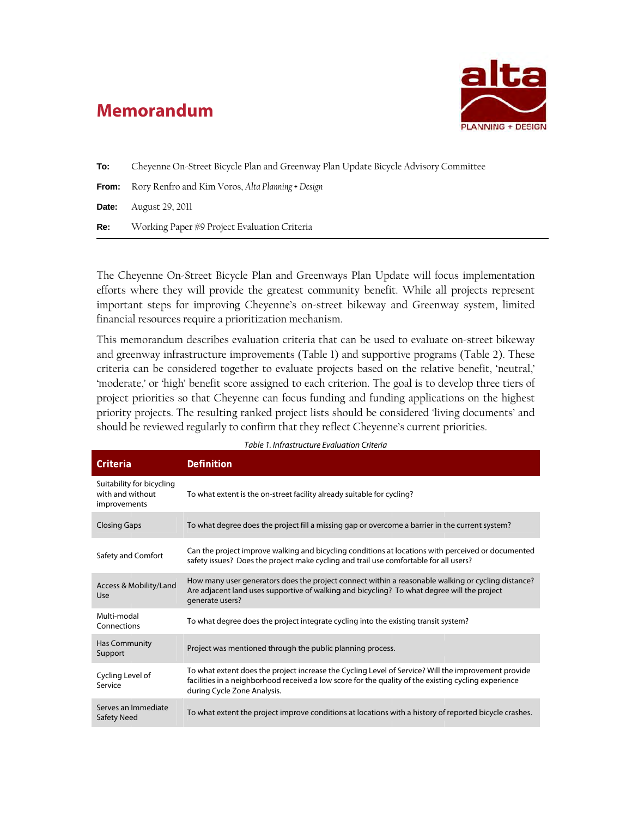# **Memorandum**



| To:   | Cheyenne On-Street Bicycle Plan and Greenway Plan Update Bicycle Advisory Committee |  |  |
|-------|-------------------------------------------------------------------------------------|--|--|
|       | <b>From:</b> Rory Renfro and Kim Voros, Alta Planning + Design                      |  |  |
| Date: | August 29, 2011                                                                     |  |  |
| Re:   | Working Paper #9 Project Evaluation Criteria                                        |  |  |

The Cheyenne On-Street Bicycle Plan and Greenways Plan Update will focus implementation efforts where they will provide the greatest community benefit. While all projects represent important steps for improving Cheyenne's on-street bikeway and Greenway system, limited financial resources require a prioritization mechanism.

This memorandum describes evaluation criteria that can be used to evaluate on-street bikeway and greenway infrastructure improvements (Table 1) and supportive programs (Table 2). These criteria can be considered together to evaluate projects based on the relative benefit, 'neutral,' 'moderate,' or 'high' benefit score assigned to each criterion. The goal is to develop three tiers of project priorities so that Cheyenne can focus funding and funding applications on the highest priority projects. The resulting ranked project lists should be considered 'living documents' and should be reviewed regularly to confirm that they reflect Cheyenne's current priorities.

| Table 1. Infrastructure Evaluation Criteria                   |                                                                                                                                                                                                                                            |  |
|---------------------------------------------------------------|--------------------------------------------------------------------------------------------------------------------------------------------------------------------------------------------------------------------------------------------|--|
| Criteria                                                      | Definition                                                                                                                                                                                                                                 |  |
| Suitability for bicycling<br>with and without<br>improvements | To what extent is the on-street facility already suitable for cycling?                                                                                                                                                                     |  |
| <b>Closing Gaps</b>                                           | To what degree does the project fill a missing gap or overcome a barrier in the current system?                                                                                                                                            |  |
| Safety and Comfort                                            | Can the project improve walking and bicycling conditions at locations with perceived or documented<br>safety issues? Does the project make cycling and trail use comfortable for all users?                                                |  |
| Access & Mobility/Land<br>Use                                 | How many user generators does the project connect within a reasonable walking or cycling distance?<br>Are adjacent land uses supportive of walking and bicycling? To what degree will the project<br>generate users?                       |  |
| Multi-modal<br>Connections                                    | To what degree does the project integrate cycling into the existing transit system?                                                                                                                                                        |  |
| <b>Has Community</b><br>Support                               | Project was mentioned through the public planning process.                                                                                                                                                                                 |  |
| Cycling Level of<br>Service                                   | To what extent does the project increase the Cycling Level of Service? Will the improvement provide<br>facilities in a neighborhood received a low score for the quality of the existing cycling experience<br>during Cycle Zone Analysis. |  |
| Serves an Immediate<br><b>Safety Need</b>                     | To what extent the project improve conditions at locations with a history of reported bicycle crashes.                                                                                                                                     |  |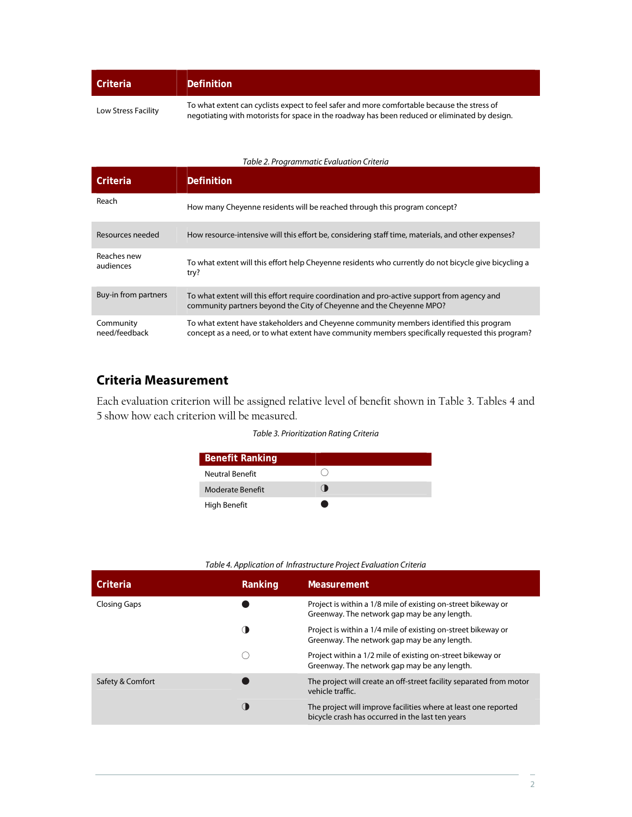| Criteria | Definition                                                                                        |
|----------|---------------------------------------------------------------------------------------------------|
|          | Ta colect cotest are accelerate annoyate fact acformed manner and factolete legacing the atres of |

To what extent can cyclists expect to feel safer and more comfortable because the stress of<br>Low Stress Facility<br>Low Stress Facility negotiating with motorists for space in the roadway has been reduced or eliminated by design.

#### Table 2. Programmatic Evaluation Criteria

| Criteria                   | Definition                                                                                                                                                                                  |
|----------------------------|---------------------------------------------------------------------------------------------------------------------------------------------------------------------------------------------|
| Reach                      | How many Cheyenne residents will be reached through this program concept?                                                                                                                   |
| Resources needed           | How resource-intensive will this effort be, considering staff time, materials, and other expenses?                                                                                          |
| Reaches new<br>audiences   | To what extent will this effort help Cheyenne residents who currently do not bicycle give bicycling a<br>try?                                                                               |
| Buy-in from partners       | To what extent will this effort require coordination and pro-active support from agency and<br>community partners beyond the City of Cheyenne and the Cheyenne MPO?                         |
| Community<br>need/feedback | To what extent have stakeholders and Cheyenne community members identified this program<br>concept as a need, or to what extent have community members specifically requested this program? |

## **Criteria Measurement**

Each evaluation criterion will be assigned relative level of benefit shown in Table 3. Tables 4 and 5 show how each criterion will be measured.

#### Table 3. Prioritization Rating Criteria

| <b>Benefit Ranking</b> |  |
|------------------------|--|
| <b>Neutral Benefit</b> |  |
| Moderate Benefit       |  |
| High Benefit           |  |

#### Table 4. Application of Infrastructure Project Evaluation Criteria

| Criteria            | Ranking | <b>Measurement</b>                                                                                                  |
|---------------------|---------|---------------------------------------------------------------------------------------------------------------------|
| <b>Closing Gaps</b> |         | Project is within a 1/8 mile of existing on-street bikeway or<br>Greenway. The network gap may be any length.       |
|                     |         | Project is within a 1/4 mile of existing on-street bikeway or<br>Greenway. The network gap may be any length.       |
|                     |         | Project within a 1/2 mile of existing on-street bikeway or<br>Greenway. The network gap may be any length.          |
| Safety & Comfort    |         | The project will create an off-street facility separated from motor<br>vehicle traffic.                             |
|                     |         | The project will improve facilities where at least one reported<br>bicycle crash has occurred in the last ten years |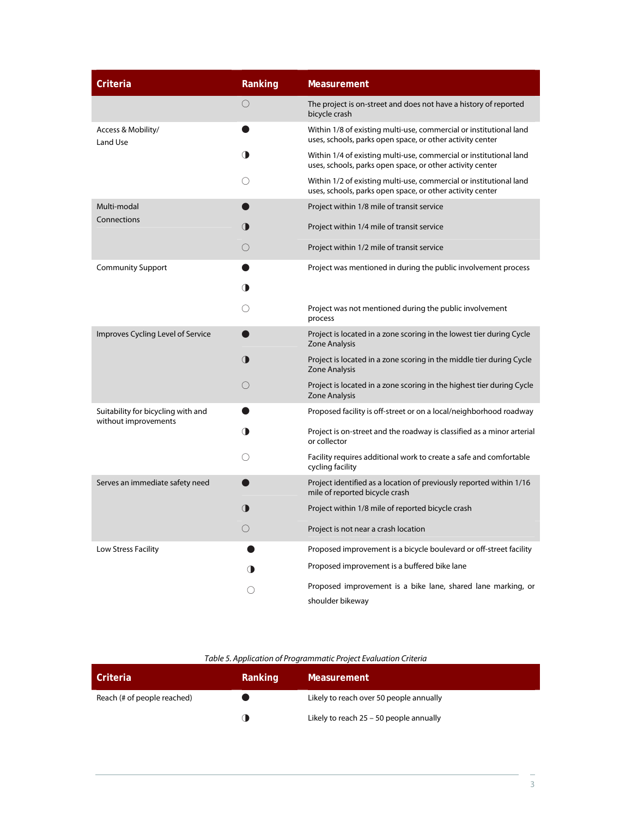| Criteria                                                   | Ranking         | <b>Measurement</b>                                                                                                              |
|------------------------------------------------------------|-----------------|---------------------------------------------------------------------------------------------------------------------------------|
|                                                            | $\bigcirc$      | The project is on-street and does not have a history of reported<br>bicycle crash                                               |
| Access & Mobility/<br><b>Land Use</b>                      |                 | Within 1/8 of existing multi-use, commercial or institutional land<br>uses, schools, parks open space, or other activity center |
|                                                            | ◑               | Within 1/4 of existing multi-use, commercial or institutional land<br>uses, schools, parks open space, or other activity center |
|                                                            | ()              | Within 1/2 of existing multi-use, commercial or institutional land<br>uses, schools, parks open space, or other activity center |
| Multi-modal                                                |                 | Project within 1/8 mile of transit service                                                                                      |
| Connections                                                | (D              | Project within 1/4 mile of transit service                                                                                      |
|                                                            | $\left(\right)$ | Project within 1/2 mile of transit service                                                                                      |
| <b>Community Support</b>                                   |                 | Project was mentioned in during the public involvement process                                                                  |
|                                                            | (D              |                                                                                                                                 |
|                                                            | ◯               | Project was not mentioned during the public involvement<br>process                                                              |
| Improves Cycling Level of Service                          |                 | Project is located in a zone scoring in the lowest tier during Cycle<br><b>Zone Analysis</b>                                    |
|                                                            | $\bigcirc$      | Project is located in a zone scoring in the middle tier during Cycle<br>Zone Analysis                                           |
|                                                            | $\bigcirc$      | Project is located in a zone scoring in the highest tier during Cycle<br><b>Zone Analysis</b>                                   |
| Suitability for bicycling with and<br>without improvements |                 | Proposed facility is off-street or on a local/neighborhood roadway                                                              |
|                                                            | ◑               | Project is on-street and the roadway is classified as a minor arterial<br>or collector                                          |
|                                                            |                 | Facility requires additional work to create a safe and comfortable<br>cycling facility                                          |
| Serves an immediate safety need                            |                 | Project identified as a location of previously reported within 1/16<br>mile of reported bicycle crash                           |
|                                                            | $\bigcirc$      | Project within 1/8 mile of reported bicycle crash                                                                               |
|                                                            | O               | Project is not near a crash location                                                                                            |
| Low Stress Facility                                        |                 | Proposed improvement is a bicycle boulevard or off-street facility                                                              |
|                                                            |                 | Proposed improvement is a buffered bike lane                                                                                    |
|                                                            |                 | Proposed improvement is a bike lane, shared lane marking, or<br>shoulder bikeway                                                |

### Table 5. Application of Programmatic Project Evaluation Criteria

| Criteria                    | Ranking | <b>Measurement</b>                      |
|-----------------------------|---------|-----------------------------------------|
| Reach (# of people reached) |         | Likely to reach over 50 people annually |
|                             |         | Likely to reach 25 - 50 people annually |